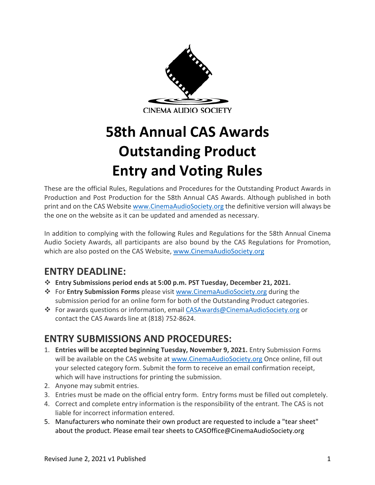

# **58th Annual CAS Awards Outstanding Product Entry and Voting Rules**

These are the official Rules, Regulations and Procedures for the Outstanding Product Awards in Production and Post Production for the 58th Annual CAS Awards. Although published in both print and on the CAS Website www.CinemaAudioSociety.org the definitive version will always be the one on the website as it can be updated and amended as necessary.

In addition to complying with the following Rules and Regulations for the 58th Annual Cinema Audio Society Awards, all participants are also bound by the CAS Regulations for Promotion, which are also posted on the CAS Website, www.CinemaAudioSociety.org

## **ENTRY DEADLINE:**

- v **Entry Submissions period ends at 5:00 p.m. PST Tuesday, December 21, 2021.**
- v For **Entry Submission Forms** please visit www.CinemaAudioSociety.org during the submission period for an online form for both of the Outstanding Product categories.
- v For awards questions or information, email CASAwards@CinemaAudioSociety.org or contact the CAS Awards line at (818) 752-8624.

## **ENTRY SUBMISSIONS AND PROCEDURES:**

- 1. **Entries will be accepted beginning Tuesday, November 9, 2021.** Entry Submission Forms will be available on the CAS website at www.CinemaAudioSociety.org Once online, fill out your selected category form. Submit the form to receive an email confirmation receipt, which will have instructions for printing the submission.
- 2. Anyone may submit entries.
- 3. Entries must be made on the official entry form. Entry forms must be filled out completely.
- 4. Correct and complete entry information is the responsibility of the entrant. The CAS is not liable for incorrect information entered.
- 5. Manufacturers who nominate their own product are requested to include a "tear sheet" about the product. Please email tear sheets to CASOffice@CinemaAudioSociety.org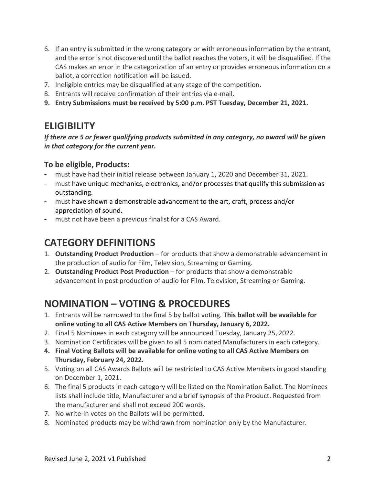- 6. If an entry is submitted in the wrong category or with erroneous information by the entrant, and the error is not discovered until the ballot reaches the voters, it will be disqualified. If the CAS makes an error in the categorization of an entry or provides erroneous information on a ballot, a correction notification will be issued.
- 7. Ineligible entries may be disqualified at any stage of the competition.
- 8. Entrants will receive confirmation of their entries via e-mail.
- **9. Entry Submissions must be received by 5:00 p.m. PST Tuesday, December 21, 2021.**

## **ELIGIBILITY**

*If there are 5 or fewer qualifying products submitted in any category, no award will be given in that category for the current year.*

#### **To be eligible, Products:**

- must have had their initial release between January 1, 2020 and December 31, 2021.
- must have unique mechanics, electronics, and/or processes that qualify this submission as outstanding.
- must have shown a demonstrable advancement to the art, craft, process and/or appreciation of sound.
- must not have been a previous finalist for a CAS Award.

## **CATEGORY DEFINITIONS**

- 1. **Outstanding Product Production** for products that show a demonstrable advancement in the production of audio for Film, Television, Streaming or Gaming.
- 2. **Outstanding Product Post Production** for products that show a demonstrable advancement in post production of audio for Film, Television, Streaming or Gaming.

## **NOMINATION – VOTING & PROCEDURES**

- 1. Entrants will be narrowed to the final 5 by ballot voting. **This ballot will be available for online voting to all CAS Active Members on Thursday, January 6, 2022.**
- 2. Final 5 Nominees in each category will be announced Tuesday, January 25, 2022.
- 3. Nomination Certificates will be given to all 5 nominated Manufacturers in each category.
- **4. Final Voting Ballots will be available for online voting to all CAS Active Members on Thursday, February 24, 2022.**
- 5. Voting on all CAS Awards Ballots will be restricted to CAS Active Members in good standing on December 1, 2021.
- 6. The final 5 products in each category will be listed on the Nomination Ballot. The Nominees lists shall include title, Manufacturer and a brief synopsis of the Product. Requested from the manufacturer and shall not exceed 200 words.
- 7. No write-in votes on the Ballots will be permitted.
- 8. Nominated products may be withdrawn from nomination only by the Manufacturer.